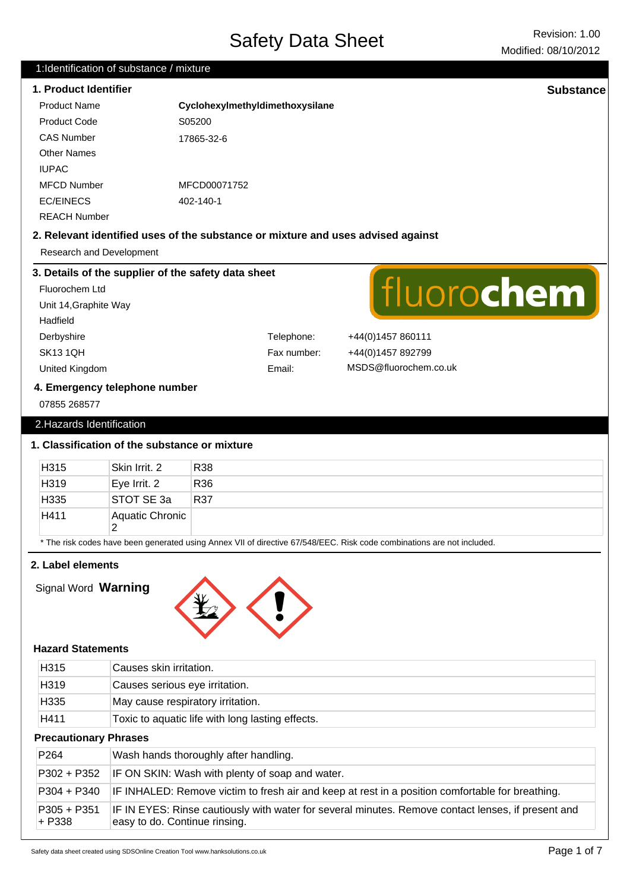# Safety Data Sheet Revision: 1.00

#### 1:Identification of substance / mixture

### **1. Product Identifier Substance**

| Product Name        | Cyclohexylmethyldimethoxysilane |
|---------------------|---------------------------------|
| Product Code        | S05200                          |
| <b>CAS Number</b>   | 17865-32-6                      |
| <b>Other Names</b>  |                                 |
| <b>IUPAC</b>        |                                 |
| <b>MFCD Number</b>  | MFCD00071752                    |
| EC/EINECS           | 402-140-1                       |
| <b>REACH Number</b> |                                 |

#### **2. Relevant identified uses of the substance or mixture and uses advised against**

Research and Development

#### **3. Details of the supplier of the safety data sheet** fluorochem Fluorochem Ltd Unit 14,Graphite Way Hadfield Derbyshire Telephone: +44(0)1457 860111 SK13 1QH Fax number: +44(0)1457 892799 MSDS@fluorochem.co.uk United Kingdom Email: **4. Emergency telephone number** 07855 268577

## 2.Hazards Identification

#### **1. Classification of the substance or mixture**

| H315                                                                                                                   | Skin Irrit, 2   | R38             |
|------------------------------------------------------------------------------------------------------------------------|-----------------|-----------------|
| H319                                                                                                                   | Eye Irrit. 2    | R <sub>36</sub> |
| H335                                                                                                                   | ISTOT SE 3a     | R37             |
| H411                                                                                                                   | Aquatic Chronic |                 |
| * The risk codes have been generated using Annex VII of directive 67/548/EEC. Risk code combinations are not included. |                 |                 |

# **2. Label elements**

Signal Word **Warning**



#### **Hazard Statements**

| H <sub>315</sub>             | Causes skin irritation.                                                                                                             |
|------------------------------|-------------------------------------------------------------------------------------------------------------------------------------|
| H319                         | Causes serious eye irritation.                                                                                                      |
| H335                         | May cause respiratory irritation.                                                                                                   |
| H411                         | Toxic to aquatic life with long lasting effects.                                                                                    |
| <b>Precautionary Phrases</b> |                                                                                                                                     |
| P <sub>264</sub>             | Wash hands thoroughly after handling.                                                                                               |
| P302 + P352                  | IF ON SKIN: Wash with plenty of soap and water.                                                                                     |
| P304 + P340                  | IF INHALED: Remove victim to fresh air and keep at rest in a position comfortable for breathing.                                    |
| P305 + P351<br>+ P338        | IF IN EYES: Rinse cautiously with water for several minutes. Remove contact lenses, if present and<br>easy to do. Continue rinsing. |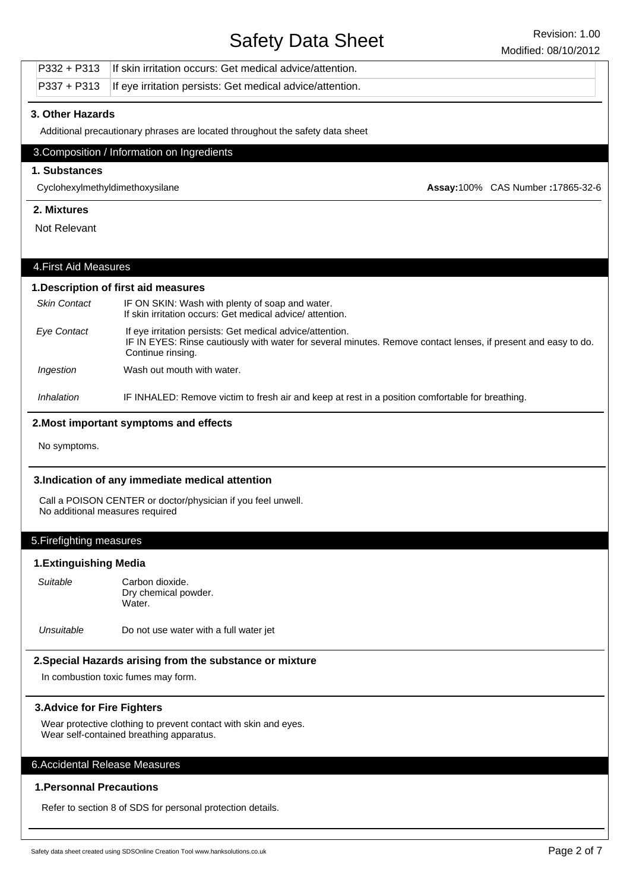# Safety Data Sheet Revision: 1.00

|                                     |                                                                                                 |                                                                                                             | Modified: 08/10/2012                                                                                           |
|-------------------------------------|-------------------------------------------------------------------------------------------------|-------------------------------------------------------------------------------------------------------------|----------------------------------------------------------------------------------------------------------------|
|                                     | P332 + P313                                                                                     | If skin irritation occurs: Get medical advice/attention.                                                    |                                                                                                                |
|                                     | $P337 + P313$                                                                                   | If eye irritation persists: Get medical advice/attention.                                                   |                                                                                                                |
|                                     | 3. Other Hazards                                                                                |                                                                                                             |                                                                                                                |
|                                     |                                                                                                 | Additional precautionary phrases are located throughout the safety data sheet                               |                                                                                                                |
|                                     |                                                                                                 | 3. Composition / Information on Ingredients                                                                 |                                                                                                                |
|                                     | 1. Substances                                                                                   |                                                                                                             |                                                                                                                |
|                                     | Cyclohexylmethyldimethoxysilane                                                                 |                                                                                                             | Assay:100% CAS Number: 17865-32-6                                                                              |
|                                     | 2. Mixtures                                                                                     |                                                                                                             |                                                                                                                |
|                                     | Not Relevant                                                                                    |                                                                                                             |                                                                                                                |
|                                     |                                                                                                 |                                                                                                             |                                                                                                                |
|                                     | 4. First Aid Measures                                                                           |                                                                                                             |                                                                                                                |
|                                     |                                                                                                 | 1. Description of first aid measures                                                                        |                                                                                                                |
|                                     | <b>Skin Contact</b>                                                                             | IF ON SKIN: Wash with plenty of soap and water.<br>If skin irritation occurs: Get medical advice/attention. |                                                                                                                |
|                                     | <b>Eye Contact</b>                                                                              | If eye irritation persists: Get medical advice/attention.<br>Continue rinsing.                              | IF IN EYES: Rinse cautiously with water for several minutes. Remove contact lenses, if present and easy to do. |
|                                     | Ingestion                                                                                       | Wash out mouth with water.                                                                                  |                                                                                                                |
|                                     | Inhalation                                                                                      | IF INHALED: Remove victim to fresh air and keep at rest in a position comfortable for breathing.            |                                                                                                                |
|                                     |                                                                                                 | 2. Most important symptoms and effects                                                                      |                                                                                                                |
|                                     | No symptoms.                                                                                    |                                                                                                             |                                                                                                                |
|                                     |                                                                                                 | 3.Indication of any immediate medical attention                                                             |                                                                                                                |
|                                     | Call a POISON CENTER or doctor/physician if you feel unwell.<br>No additional measures required |                                                                                                             |                                                                                                                |
|                                     | 5. Firefighting measures                                                                        |                                                                                                             |                                                                                                                |
|                                     | <b>1.Extinguishing Media</b>                                                                    |                                                                                                             |                                                                                                                |
|                                     | Suitable                                                                                        | Carbon dioxide.<br>Dry chemical powder.<br>Water.                                                           |                                                                                                                |
|                                     | Unsuitable                                                                                      | Do not use water with a full water jet                                                                      |                                                                                                                |
|                                     |                                                                                                 | 2. Special Hazards arising from the substance or mixture                                                    |                                                                                                                |
| In combustion toxic fumes may form. |                                                                                                 |                                                                                                             |                                                                                                                |
|                                     | <b>3. Advice for Fire Fighters</b>                                                              |                                                                                                             |                                                                                                                |
|                                     |                                                                                                 | Wear protective clothing to prevent contact with skin and eyes.<br>Wear self-contained breathing apparatus. |                                                                                                                |
|                                     | 6. Accidental Release Measures                                                                  |                                                                                                             |                                                                                                                |
|                                     | <b>1. Personnal Precautions</b>                                                                 |                                                                                                             |                                                                                                                |
|                                     |                                                                                                 | Refer to section 8 of SDS for personal protection details.                                                  |                                                                                                                |
|                                     |                                                                                                 |                                                                                                             |                                                                                                                |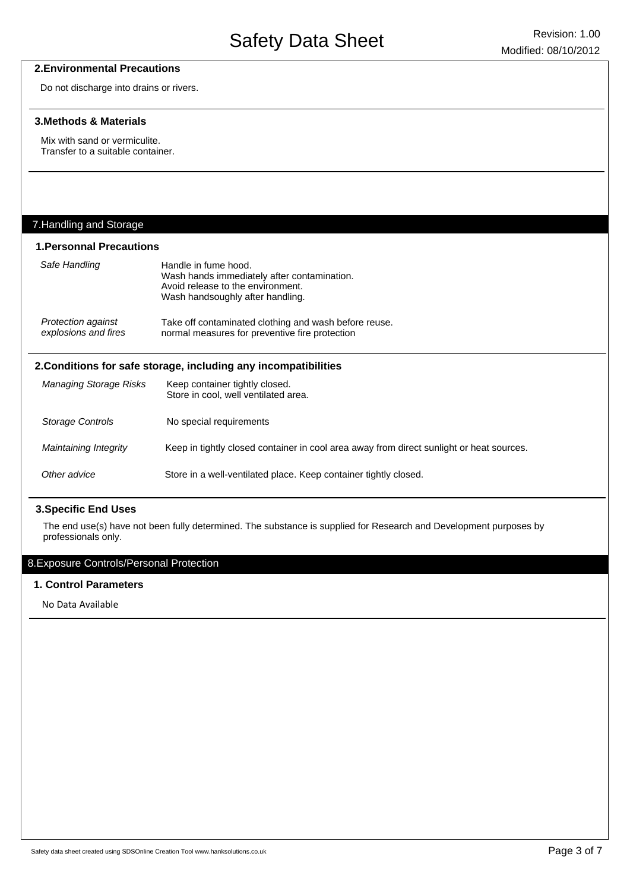#### **2.Environmental Precautions**

Do not discharge into drains or rivers.

#### **3.Methods & Materials**

Mix with sand or vermiculite. Transfer to a suitable container.

# 7.Handling and Storage

 $\overline{a}$ 

#### **1.Personnal Precautions**

| Safe Handling                                                   | Handle in fume hood.<br>Wash hands immediately after contamination.<br>Avoid release to the environment.<br>Wash handsoughly after handling. |  |
|-----------------------------------------------------------------|----------------------------------------------------------------------------------------------------------------------------------------------|--|
| Protection against<br>explosions and fires                      | Take off contaminated clothing and wash before reuse.<br>normal measures for preventive fire protection                                      |  |
| 2. Conditions for safe storage, including any incompatibilities |                                                                                                                                              |  |
| <b>Managing Storage Risks</b>                                   | Keep container tightly closed.<br>Store in cool, well ventilated area.                                                                       |  |
| Storage Controls                                                | No special requirements                                                                                                                      |  |
| Maintaining Integrity                                           | Keep in tightly closed container in cool area away from direct sunlight or heat sources.                                                     |  |
| Other advice                                                    | Store in a well-ventilated place. Keep container tightly closed.                                                                             |  |

#### **3.Specific End Uses**

The end use(s) have not been fully determined. The substance is supplied for Research and Development purposes by professionals only.

# 8.Exposure Controls/Personal Protection

#### **1. Control Parameters**

No Data Available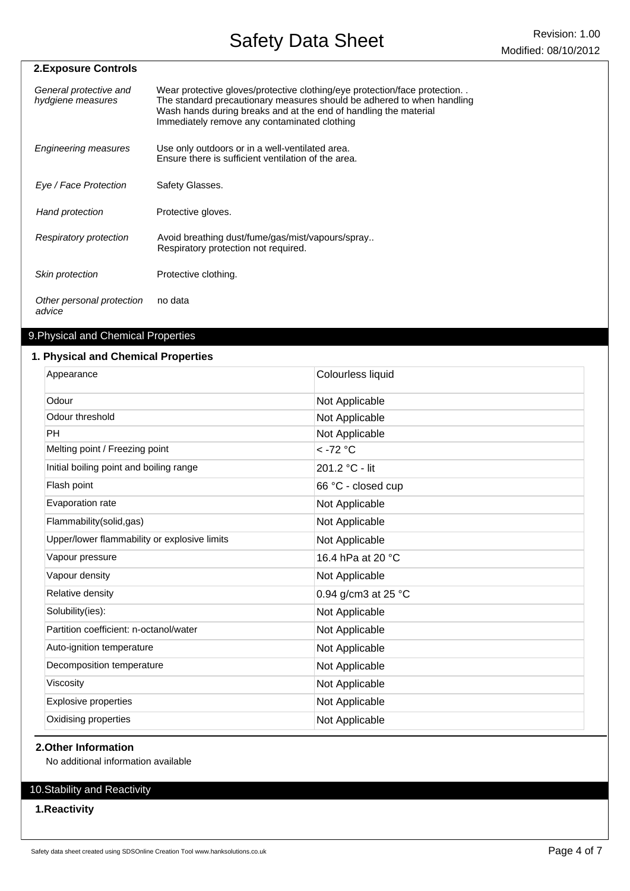| <b>2.Exposure Controls</b>                  |                                                                                                                                                                                                                                                                         |
|---------------------------------------------|-------------------------------------------------------------------------------------------------------------------------------------------------------------------------------------------------------------------------------------------------------------------------|
| General protective and<br>hydgiene measures | Wear protective gloves/protective clothing/eye protection/face protection<br>The standard precautionary measures should be adhered to when handling<br>Wash hands during breaks and at the end of handling the material<br>Immediately remove any contaminated clothing |
| Engineering measures                        | Use only outdoors or in a well-ventilated area.<br>Ensure there is sufficient ventilation of the area.                                                                                                                                                                  |
| Eye / Face Protection                       | Safety Glasses.                                                                                                                                                                                                                                                         |
| Hand protection                             | Protective gloves.                                                                                                                                                                                                                                                      |
| Respiratory protection                      | Avoid breathing dust/fume/gas/mist/vapours/spray<br>Respiratory protection not required.                                                                                                                                                                                |
| Skin protection                             | Protective clothing.                                                                                                                                                                                                                                                    |
| Other personal protection<br>advice         | no data                                                                                                                                                                                                                                                                 |

# 9.Physical and Chemical Properties

## **1. Physical and Chemical Properties**

| Appearance                                   | Colourless liquid   |
|----------------------------------------------|---------------------|
| Odour                                        | Not Applicable      |
| Odour threshold                              | Not Applicable      |
| <b>PH</b>                                    | Not Applicable      |
| Melting point / Freezing point               | $<$ -72 °C          |
| Initial boiling point and boiling range      | 201.2 °C - lit      |
| Flash point                                  | 66 °C - closed cup  |
| Evaporation rate                             | Not Applicable      |
| Flammability(solid,gas)                      | Not Applicable      |
| Upper/lower flammability or explosive limits | Not Applicable      |
| Vapour pressure                              | 16.4 hPa at 20 °C   |
| Vapour density                               | Not Applicable      |
| Relative density                             | 0.94 g/cm3 at 25 °C |
| Solubility(ies):                             | Not Applicable      |
| Partition coefficient: n-octanol/water       | Not Applicable      |
| Auto-ignition temperature                    | Not Applicable      |
| Decomposition temperature                    | Not Applicable      |
| Viscosity                                    | Not Applicable      |
| <b>Explosive properties</b>                  | Not Applicable      |
| Oxidising properties                         | Not Applicable      |
|                                              |                     |

## **2.Other Information**

No additional information available

# 10.Stability and Reactivity

#### **1.Reactivity**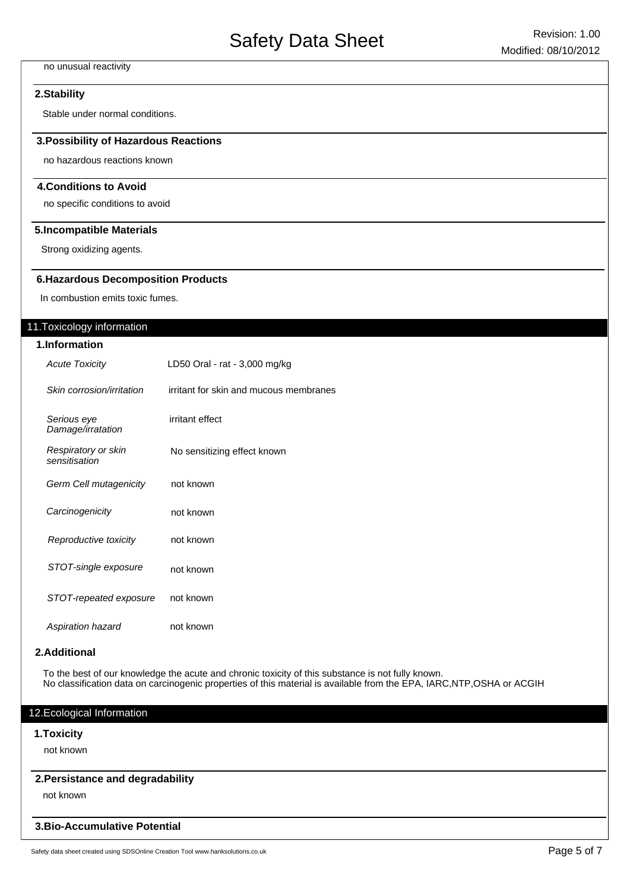#### no unusual reactivity

#### **2.Stability**

Stable under normal conditions.

#### **3.Possibility of Hazardous Reactions**

no hazardous reactions known

#### **4.Conditions to Avoid**

no specific conditions to avoid

#### **5.Incompatible Materials**

Strong oxidizing agents.

#### **6.Hazardous Decomposition Products**

In combustion emits toxic fumes.

#### 11.Toxicology information

| 1.Information                        |                                        |  |  |
|--------------------------------------|----------------------------------------|--|--|
| <b>Acute Toxicity</b>                | LD50 Oral - rat - 3,000 mg/kg          |  |  |
| Skin corrosion/irritation            | irritant for skin and mucous membranes |  |  |
| Serious eye<br>Damage/irratation     | irritant effect                        |  |  |
| Respiratory or skin<br>sensitisation | No sensitizing effect known            |  |  |
| Germ Cell mutagenicity               | not known                              |  |  |
| Carcinogenicity                      | not known                              |  |  |
| Reproductive toxicity                | not known                              |  |  |
| STOT-single exposure                 | not known                              |  |  |
| STOT-repeated exposure               | not known                              |  |  |
| Aspiration hazard                    | not known                              |  |  |

#### **2.Additional**

To the best of our knowledge the acute and chronic toxicity of this substance is not fully known. No classification data on carcinogenic properties of this material is available from the EPA, IARC,NTP,OSHA or ACGIH

### 12.Ecological Information

#### **1.Toxicity**

not known

#### **2.Persistance and degradability**

not known

#### **3.Bio-Accumulative Potential**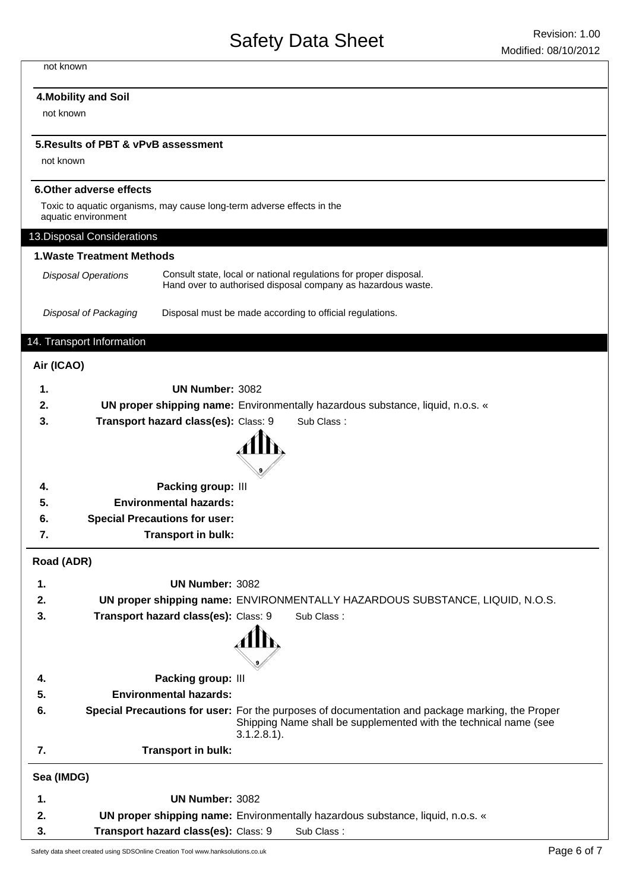#### not known

#### **4.Mobility and Soil**

not known

#### **5.Results of PBT & vPvB assessment**

not known

#### **6.Other adverse effects**

Toxic to aquatic organisms, may cause long-term adverse effects in the aquatic environment

|            | aquatic environment               |                                                                                                                                                                                       |
|------------|-----------------------------------|---------------------------------------------------------------------------------------------------------------------------------------------------------------------------------------|
|            | 13. Disposal Considerations       |                                                                                                                                                                                       |
|            | <b>1. Waste Treatment Methods</b> |                                                                                                                                                                                       |
|            | <b>Disposal Operations</b>        | Consult state, local or national regulations for proper disposal.<br>Hand over to authorised disposal company as hazardous waste.                                                     |
|            | Disposal of Packaging             | Disposal must be made according to official regulations.                                                                                                                              |
|            | 14. Transport Information         |                                                                                                                                                                                       |
| Air (ICAO) |                                   |                                                                                                                                                                                       |
| 1.         |                                   | UN Number: 3082                                                                                                                                                                       |
| 2.         |                                   | <b>UN proper shipping name:</b> Environmentally hazardous substance, liquid, n.o.s. «                                                                                                 |
| 3.         |                                   | Transport hazard class(es): Class: 9<br>Sub Class:                                                                                                                                    |
|            |                                   |                                                                                                                                                                                       |
| 4.         |                                   | Packing group: III                                                                                                                                                                    |
| 5.         |                                   | <b>Environmental hazards:</b>                                                                                                                                                         |
| 6.         |                                   | <b>Special Precautions for user:</b>                                                                                                                                                  |
| 7.         |                                   | Transport in bulk:                                                                                                                                                                    |
| Road (ADR) |                                   |                                                                                                                                                                                       |
| 1.         |                                   | <b>UN Number: 3082</b>                                                                                                                                                                |
| 2.         |                                   | UN proper shipping name: ENVIRONMENTALLY HAZARDOUS SUBSTANCE, LIQUID, N.O.S.                                                                                                          |
| 3.         |                                   | Transport hazard class(es): Class: 9<br>Sub Class:                                                                                                                                    |
|            |                                   |                                                                                                                                                                                       |
| 4.         |                                   | Packing group: III                                                                                                                                                                    |
| 5.         |                                   | <b>Environmental hazards:</b>                                                                                                                                                         |
| 6.         |                                   | Special Precautions for user: For the purposes of documentation and package marking, the Proper<br>Shipping Name shall be supplemented with the technical name (see<br>$3.1.2.8.1$ ). |
| 7.         |                                   | Transport in bulk:                                                                                                                                                                    |
| Sea (IMDG) |                                   |                                                                                                                                                                                       |
| 1.         |                                   | <b>UN Number: 3082</b>                                                                                                                                                                |
| 2.         |                                   | <b>UN proper shipping name:</b> Environmentally hazardous substance, liquid, n.o.s. «                                                                                                 |
| 3.         |                                   | Transport hazard class(es): Class: 9<br>Sub Class:                                                                                                                                    |